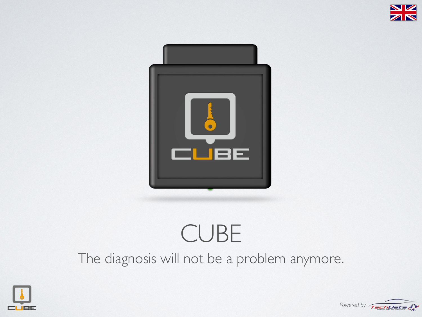



## CUBE The diagnosis will not be a problem anymore.



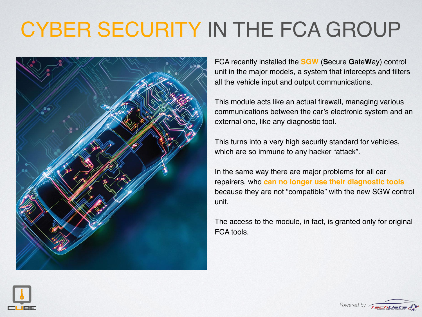## CYBER SECURITY IN THE FCA GROUP



FCA recently installed the **SGW** (**S**ecure **G**ate**W**ay) control unit in the major models, a system that intercepts and filters all the vehicle input and output communications.

This module acts like an actual firewall, managing various communications between the car's electronic system and an external one, like any diagnostic tool.

This turns into a very high security standard for vehicles, which are so immune to any hacker "attack".

In the same way there are major problems for all car repairers, who **can no longer use their diagnostic tools** because they are not "compatible" with the new SGW control unit.

The access to the module, in fact, is granted only for original FCA tools.



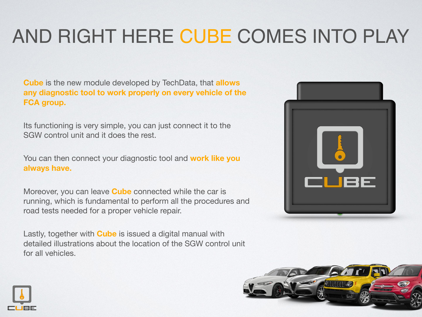## AND RIGHT HERE CUBE COMES INTO PLAY

**Cube** is the new module developed by TechData, that **allows any diagnostic tool to work properly on every vehicle of the FCA group.**

Its functioning is very simple, you can just connect it to the SGW control unit and it does the rest.

You can then connect your diagnostic tool and **work like you always have.**

Moreover, you can leave **Cube** connected while the car is running, which is fundamental to perform all the procedures and road tests needed for a proper vehicle repair.

Lastly, together with **Cube** is issued a digital manual with detailed illustrations about the location of the SGW control unit for all vehicles.